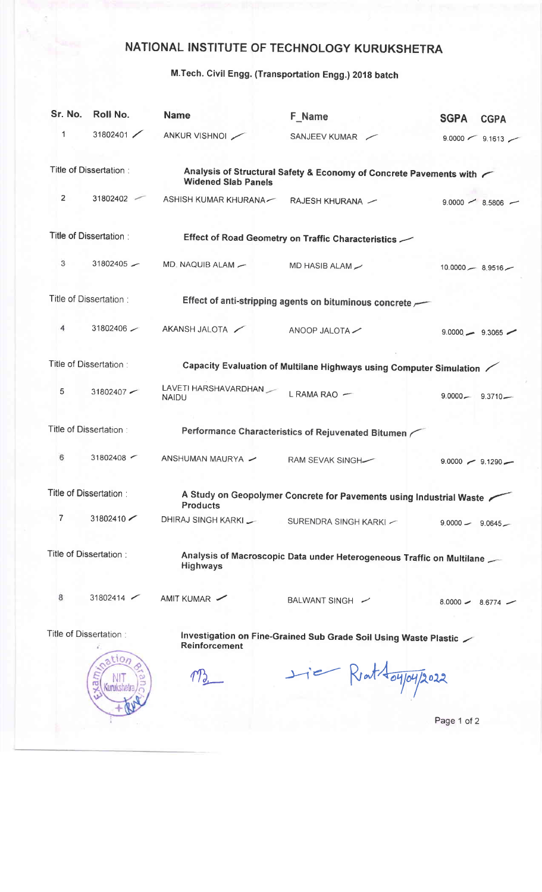## NATIONAL INSTITUTE OF TECHNOLOGY KURUKSHETRA

M.Tech. Civil Engg. (Transportation Engg.) 2019 batch

| Sr. No.        | Roll No.                | <b>Name</b>                          | F Name                                                                | <b>SGPA</b>          | <b>CGPA</b>         |
|----------------|-------------------------|--------------------------------------|-----------------------------------------------------------------------|----------------------|---------------------|
| $\mathbf{1}$   | 31802401                | ANKUR VISHNOI                        | SANJEEV KUMAR                                                         |                      | $9.0000$ / 9.1613   |
|                | Title of Dissertation:  | <b>Widened Slab Panels</b>           | Analysis of Structural Safety & Economy of Concrete Pavements with    |                      |                     |
| $\overline{2}$ | 31802402                | ASHISH KUMAR KHURANA-                | RAJESH KHURANA -                                                      |                      | $9.0000 - 8.5806$ - |
|                | Title of Dissertation:  |                                      | Effect of Road Geometry on Traffic Characteristics $\searrow$         |                      |                     |
| 3              | $31802405 -$            | MD. NAQUIB ALAM -                    | MD HASIB ALAM                                                         | $10.0000 - 8.9516 -$ |                     |
|                | Title of Dissertation:  |                                      | Effect of anti-stripping agents on bituminous concrete                |                      |                     |
| 4              | $31802406$ $-$          | AKANSH JALOTA                        | ANOOP JALOTA                                                          |                      | $9.0000 - 9.3065$ - |
|                | Title of Dissertation:  |                                      | Capacity Evaluation of Multilane Highways using Computer Simulation / |                      |                     |
| 5              | 31802407                | LAVETI HARSHAVARDHAN<br><b>NAIDU</b> | L RAMA RAO -                                                          | $9.0000 - 9.3710 -$  |                     |
|                | Title of Dissertation:  |                                      | Performance Characteristics of Rejuvenated Bitumen                    |                      |                     |
| 6              | 31802408                | ANSHUMAN MAURYA -                    | RAM SEVAK SINGH-                                                      | $9.0000 - 9.1290 -$  |                     |
|                | Title of Dissertation:  | <b>Products</b>                      | A Study on Geopolymer Concrete for Pavements using Industrial Waste / |                      |                     |
| 7              | 31802410                | DHIRAJ SINGH KARKI                   | SURENDRA SINGH KARKI -                                                | $9.0000 - 9.0645$    |                     |
|                | Title of Dissertation : | <b>Highways</b>                      | Analysis of Macroscopic Data under Heterogeneous Traffic on Multilane |                      |                     |
| 8              | $31802414$ $\sim$       | AMIT KUMAR                           | BALWANT SINGH -                                                       | $8.0000 - 8.6774$ -  |                     |
|                | Title of Dissertation:  | <b>Reinforcement</b>                 | Investigation on Fine-Grained Sub Grade Soil Using Waste Plastic      |                      |                     |
|                | ation<br>Gunukshe       |                                      | $H = Rint \frac{1}{\omega}$                                           |                      |                     |
|                |                         |                                      |                                                                       | Page 1 of 2          |                     |